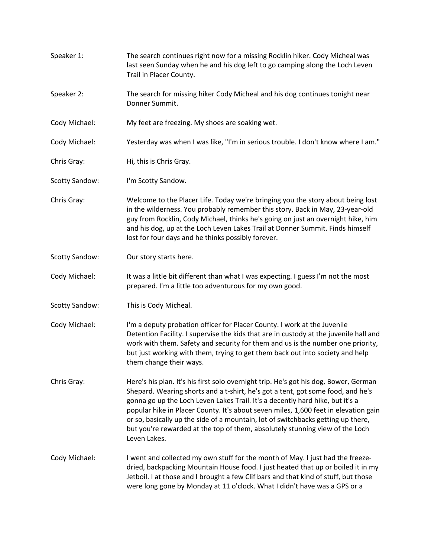Speaker 1: The search continues right now for a missing Rocklin hiker. Cody Micheal was last seen Sunday when he and his dog left to go camping along the Loch Leven Trail in Placer County. Speaker 2: The search for missing hiker Cody Micheal and his dog continues tonight near Donner Summit. Cody Michael: My feet are freezing. My shoes are soaking wet. Cody Michael: Yesterday was when I was like, "I'm in serious trouble. I don't know where I am." Chris Gray: Hi, this is Chris Gray. Scotty Sandow: I'm Scotty Sandow. Chris Gray: Welcome to the Placer Life. Today we're bringing you the story about being lost in the wilderness. You probably remember this story. Back in May, 23-year-old guy from Rocklin, Cody Michael, thinks he's going on just an overnight hike, him and his dog, up at the Loch Leven Lakes Trail at Donner Summit. Finds himself lost for four days and he thinks possibly forever. Scotty Sandow: Our story starts here. Cody Michael: It was a little bit different than what I was expecting. I guess I'm not the most prepared. I'm a little too adventurous for my own good. Scotty Sandow: This is Cody Micheal. Cody Michael: I'm a deputy probation officer for Placer County. I work at the Juvenile Detention Facility. I supervise the kids that are in custody at the juvenile hall and work with them. Safety and security for them and us is the number one priority, but just working with them, trying to get them back out into society and help them change their ways. Chris Gray: Here's his plan. It's his first solo overnight trip. He's got his dog, Bower, German Shepard. Wearing shorts and a t-shirt, he's got a tent, got some food, and he's gonna go up the Loch Leven Lakes Trail. It's a decently hard hike, but it's a popular hike in Placer County. It's about seven miles, 1,600 feet in elevation gain or so, basically up the side of a mountain, lot of switchbacks getting up there, but you're rewarded at the top of them, absolutely stunning view of the Loch Leven Lakes. Cody Michael: I went and collected my own stuff for the month of May. I just had the freezedried, backpacking Mountain House food. I just heated that up or boiled it in my Jetboil. I at those and I brought a few Clif bars and that kind of stuff, but those were long gone by Monday at 11 o'clock. What I didn't have was a GPS or a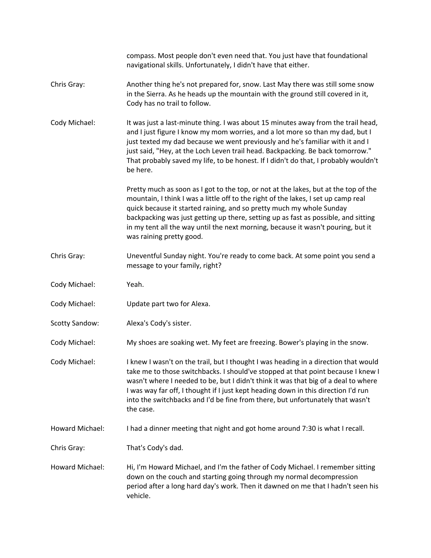|                       | compass. Most people don't even need that. You just have that foundational<br>navigational skills. Unfortunately, I didn't have that either.                                                                                                                                                                                                                                                                                                            |
|-----------------------|---------------------------------------------------------------------------------------------------------------------------------------------------------------------------------------------------------------------------------------------------------------------------------------------------------------------------------------------------------------------------------------------------------------------------------------------------------|
| Chris Gray:           | Another thing he's not prepared for, snow. Last May there was still some snow<br>in the Sierra. As he heads up the mountain with the ground still covered in it,<br>Cody has no trail to follow.                                                                                                                                                                                                                                                        |
| Cody Michael:         | It was just a last-minute thing. I was about 15 minutes away from the trail head,<br>and I just figure I know my mom worries, and a lot more so than my dad, but I<br>just texted my dad because we went previously and he's familiar with it and I<br>just said, "Hey, at the Loch Leven trail head. Backpacking. Be back tomorrow."<br>That probably saved my life, to be honest. If I didn't do that, I probably wouldn't<br>be here.                |
|                       | Pretty much as soon as I got to the top, or not at the lakes, but at the top of the<br>mountain, I think I was a little off to the right of the lakes, I set up camp real<br>quick because it started raining, and so pretty much my whole Sunday<br>backpacking was just getting up there, setting up as fast as possible, and sitting<br>in my tent all the way until the next morning, because it wasn't pouring, but it<br>was raining pretty good. |
| Chris Gray:           | Uneventful Sunday night. You're ready to come back. At some point you send a<br>message to your family, right?                                                                                                                                                                                                                                                                                                                                          |
| Cody Michael:         | Yeah.                                                                                                                                                                                                                                                                                                                                                                                                                                                   |
| Cody Michael:         | Update part two for Alexa.                                                                                                                                                                                                                                                                                                                                                                                                                              |
| <b>Scotty Sandow:</b> | Alexa's Cody's sister.                                                                                                                                                                                                                                                                                                                                                                                                                                  |
| Cody Michael:         | My shoes are soaking wet. My feet are freezing. Bower's playing in the snow.                                                                                                                                                                                                                                                                                                                                                                            |
| Cody Michael:         | I knew I wasn't on the trail, but I thought I was heading in a direction that would<br>take me to those switchbacks. I should've stopped at that point because I knew I<br>wasn't where I needed to be, but I didn't think it was that big of a deal to where<br>I was way far off, I thought if I just kept heading down in this direction I'd run<br>into the switchbacks and I'd be fine from there, but unfortunately that wasn't<br>the case.      |
| Howard Michael:       | I had a dinner meeting that night and got home around 7:30 is what I recall.                                                                                                                                                                                                                                                                                                                                                                            |
| Chris Gray:           | That's Cody's dad.                                                                                                                                                                                                                                                                                                                                                                                                                                      |
| Howard Michael:       | Hi, I'm Howard Michael, and I'm the father of Cody Michael. I remember sitting<br>down on the couch and starting going through my normal decompression<br>period after a long hard day's work. Then it dawned on me that I hadn't seen his<br>vehicle.                                                                                                                                                                                                  |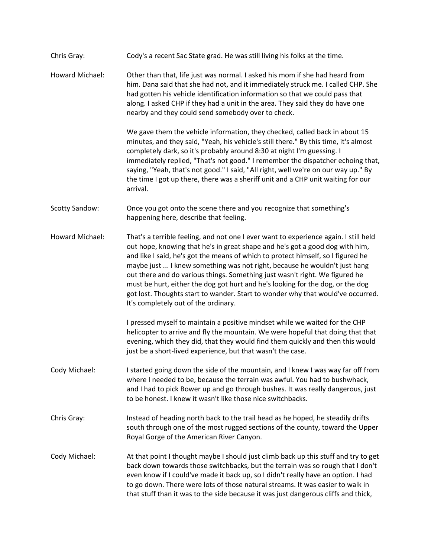| Chris Gray:           | Cody's a recent Sac State grad. He was still living his folks at the time.                                                                                                                                                                                                                                                                                                                                                                                                                                                                                                                                                        |
|-----------------------|-----------------------------------------------------------------------------------------------------------------------------------------------------------------------------------------------------------------------------------------------------------------------------------------------------------------------------------------------------------------------------------------------------------------------------------------------------------------------------------------------------------------------------------------------------------------------------------------------------------------------------------|
| Howard Michael:       | Other than that, life just was normal. I asked his mom if she had heard from<br>him. Dana said that she had not, and it immediately struck me. I called CHP. She<br>had gotten his vehicle identification information so that we could pass that<br>along. I asked CHP if they had a unit in the area. They said they do have one<br>nearby and they could send somebody over to check.                                                                                                                                                                                                                                           |
|                       | We gave them the vehicle information, they checked, called back in about 15<br>minutes, and they said, "Yeah, his vehicle's still there." By this time, it's almost<br>completely dark, so it's probably around 8:30 at night I'm guessing. I<br>immediately replied, "That's not good." I remember the dispatcher echoing that,<br>saying, "Yeah, that's not good." I said, "All right, well we're on our way up." By<br>the time I got up there, there was a sheriff unit and a CHP unit waiting for our<br>arrival.                                                                                                            |
| <b>Scotty Sandow:</b> | Once you got onto the scene there and you recognize that something's<br>happening here, describe that feeling.                                                                                                                                                                                                                                                                                                                                                                                                                                                                                                                    |
| Howard Michael:       | That's a terrible feeling, and not one I ever want to experience again. I still held<br>out hope, knowing that he's in great shape and he's got a good dog with him,<br>and like I said, he's got the means of which to protect himself, so I figured he<br>maybe just  I knew something was not right, because he wouldn't just hang<br>out there and do various things. Something just wasn't right. We figured he<br>must be hurt, either the dog got hurt and he's looking for the dog, or the dog<br>got lost. Thoughts start to wander. Start to wonder why that would've occurred.<br>It's completely out of the ordinary. |
|                       | I pressed myself to maintain a positive mindset while we waited for the CHP<br>helicopter to arrive and fly the mountain. We were hopeful that doing that that<br>evening, which they did, that they would find them quickly and then this would<br>just be a short-lived experience, but that wasn't the case.                                                                                                                                                                                                                                                                                                                   |
| Cody Michael:         | I started going down the side of the mountain, and I knew I was way far off from<br>where I needed to be, because the terrain was awful. You had to bushwhack,<br>and I had to pick Bower up and go through bushes. It was really dangerous, just<br>to be honest. I knew it wasn't like those nice switchbacks.                                                                                                                                                                                                                                                                                                                  |
| Chris Gray:           | Instead of heading north back to the trail head as he hoped, he steadily drifts<br>south through one of the most rugged sections of the county, toward the Upper<br>Royal Gorge of the American River Canyon.                                                                                                                                                                                                                                                                                                                                                                                                                     |
| Cody Michael:         | At that point I thought maybe I should just climb back up this stuff and try to get<br>back down towards those switchbacks, but the terrain was so rough that I don't<br>even know if I could've made it back up, so I didn't really have an option. I had<br>to go down. There were lots of those natural streams. It was easier to walk in<br>that stuff than it was to the side because it was just dangerous cliffs and thick,                                                                                                                                                                                                |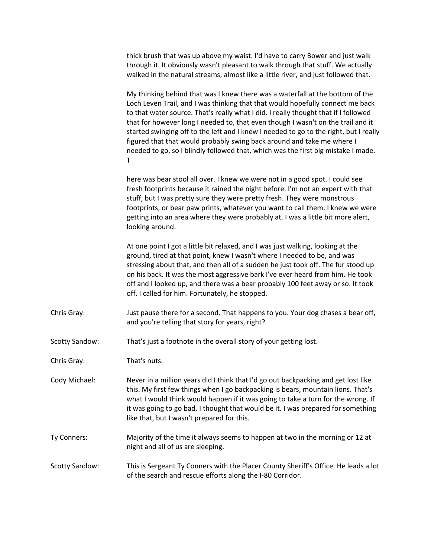| thick brush that was up above my waist. I'd have to carry Bower and just walk      |
|------------------------------------------------------------------------------------|
| through it. It obviously wasn't pleasant to walk through that stuff. We actually   |
| walked in the natural streams, almost like a little river, and just followed that. |

My thinking behind that was I knew there was a waterfall at the bottom of the Loch Leven Trail, and I was thinking that that would hopefully connect me back to that water source. That's really what I did. I really thought that if I followed that for however long I needed to, that even though I wasn't on the trail and it started swinging off to the left and I knew I needed to go to the right, but I really figured that that would probably swing back around and take me where I needed to go, so I blindly followed that, which was the first big mistake I made. T

here was bear stool all over. I knew we were not in a good spot. I could see fresh footprints because it rained the night before. I'm not an expert with that stuff, but I was pretty sure they were pretty fresh. They were monstrous footprints, or bear paw prints, whatever you want to call them. I knew we were getting into an area where they were probably at. I was a little bit more alert, looking around.

At one point I got a little bit relaxed, and I was just walking, looking at the ground, tired at that point, knew I wasn't where I needed to be, and was stressing about that, and then all of a sudden he just took off. The fur stood up on his back. It was the most aggressive bark I've ever heard from him. He took off and I looked up, and there was a bear probably 100 feet away or so. It took off. I called for him. Fortunately, he stopped.

- Chris Gray: Just pause there for a second. That happens to you. Your dog chases a bear off, and you're telling that story for years, right?
- Scotty Sandow: That's just a footnote in the overall story of your getting lost.
- Chris Gray: That's nuts.
- Cody Michael: Never in a million years did I think that I'd go out backpacking and get lost like this. My first few things when I go backpacking is bears, mountain lions. That's what I would think would happen if it was going to take a turn for the wrong. If it was going to go bad, I thought that would be it. I was prepared for something like that, but I wasn't prepared for this.
- Ty Conners: Majority of the time it always seems to happen at two in the morning or 12 at night and all of us are sleeping.
- Scotty Sandow: This is Sergeant Ty Conners with the Placer County Sheriff's Office. He leads a lot of the search and rescue efforts along the I-80 Corridor.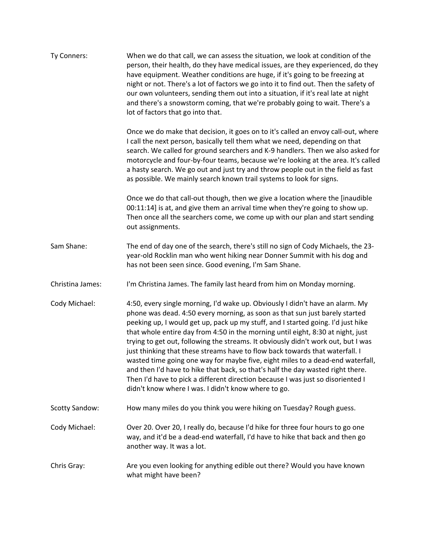| Ty Conners:           | When we do that call, we can assess the situation, we look at condition of the<br>person, their health, do they have medical issues, are they experienced, do they<br>have equipment. Weather conditions are huge, if it's going to be freezing at<br>night or not. There's a lot of factors we go into it to find out. Then the safety of<br>our own volunteers, sending them out into a situation, if it's real late at night<br>and there's a snowstorm coming, that we're probably going to wait. There's a<br>lot of factors that go into that.                                                                                                                                                                                                                                                                    |
|-----------------------|-------------------------------------------------------------------------------------------------------------------------------------------------------------------------------------------------------------------------------------------------------------------------------------------------------------------------------------------------------------------------------------------------------------------------------------------------------------------------------------------------------------------------------------------------------------------------------------------------------------------------------------------------------------------------------------------------------------------------------------------------------------------------------------------------------------------------|
|                       | Once we do make that decision, it goes on to it's called an envoy call-out, where<br>I call the next person, basically tell them what we need, depending on that<br>search. We called for ground searchers and K-9 handlers. Then we also asked for<br>motorcycle and four-by-four teams, because we're looking at the area. It's called<br>a hasty search. We go out and just try and throw people out in the field as fast<br>as possible. We mainly search known trail systems to look for signs.                                                                                                                                                                                                                                                                                                                    |
|                       | Once we do that call-out though, then we give a location where the [inaudible<br>00:11:14] is at, and give them an arrival time when they're going to show up.<br>Then once all the searchers come, we come up with our plan and start sending<br>out assignments.                                                                                                                                                                                                                                                                                                                                                                                                                                                                                                                                                      |
| Sam Shane:            | The end of day one of the search, there's still no sign of Cody Michaels, the 23-<br>year-old Rocklin man who went hiking near Donner Summit with his dog and<br>has not been seen since. Good evening, I'm Sam Shane.                                                                                                                                                                                                                                                                                                                                                                                                                                                                                                                                                                                                  |
| Christina James:      | I'm Christina James. The family last heard from him on Monday morning.                                                                                                                                                                                                                                                                                                                                                                                                                                                                                                                                                                                                                                                                                                                                                  |
| Cody Michael:         | 4:50, every single morning, I'd wake up. Obviously I didn't have an alarm. My<br>phone was dead. 4:50 every morning, as soon as that sun just barely started<br>peeking up, I would get up, pack up my stuff, and I started going. I'd just hike<br>that whole entire day from 4:50 in the morning until eight, 8:30 at night, just<br>trying to get out, following the streams. It obviously didn't work out, but I was<br>just thinking that these streams have to flow back towards that waterfall. I<br>wasted time going one way for maybe five, eight miles to a dead-end waterfall,<br>and then I'd have to hike that back, so that's half the day wasted right there.<br>Then I'd have to pick a different direction because I was just so disoriented I<br>didn't know where I was. I didn't know where to go. |
| <b>Scotty Sandow:</b> | How many miles do you think you were hiking on Tuesday? Rough guess.                                                                                                                                                                                                                                                                                                                                                                                                                                                                                                                                                                                                                                                                                                                                                    |
| Cody Michael:         | Over 20. Over 20, I really do, because I'd hike for three four hours to go one<br>way, and it'd be a dead-end waterfall, I'd have to hike that back and then go<br>another way. It was a lot.                                                                                                                                                                                                                                                                                                                                                                                                                                                                                                                                                                                                                           |
| Chris Gray:           | Are you even looking for anything edible out there? Would you have known<br>what might have been?                                                                                                                                                                                                                                                                                                                                                                                                                                                                                                                                                                                                                                                                                                                       |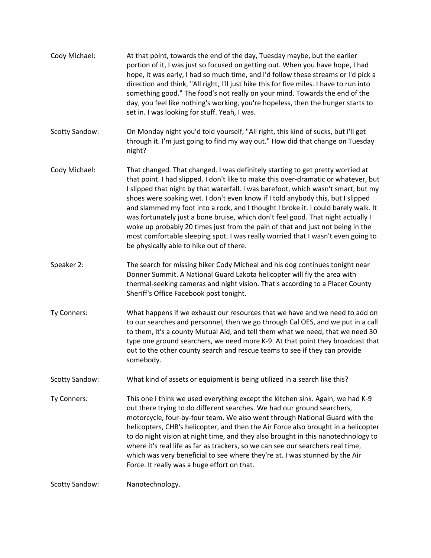Cody Michael: At that point, towards the end of the day, Tuesday maybe, but the earlier portion of it, I was just so focused on getting out. When you have hope, I had hope, it was early, I had so much time, and I'd follow these streams or I'd pick a direction and think, "All right, I'll just hike this for five miles. I have to run into something good." The food's not really on your mind. Towards the end of the day, you feel like nothing's working, you're hopeless, then the hunger starts to set in. I was looking for stuff. Yeah, I was. Scotty Sandow: On Monday night you'd told yourself, "All right, this kind of sucks, but I'll get through it. I'm just going to find my way out." How did that change on Tuesday night? Cody Michael: That changed. That changed. I was definitely starting to get pretty worried at that point. I had slipped. I don't like to make this over-dramatic or whatever, but I slipped that night by that waterfall. I was barefoot, which wasn't smart, but my shoes were soaking wet. I don't even know if I told anybody this, but I slipped and slammed my foot into a rock, and I thought I broke it. I could barely walk. It was fortunately just a bone bruise, which don't feel good. That night actually I woke up probably 20 times just from the pain of that and just not being in the most comfortable sleeping spot. I was really worried that I wasn't even going to be physically able to hike out of there. Speaker 2: The search for missing hiker Cody Micheal and his dog continues tonight near Donner Summit. A National Guard Lakota helicopter will fly the area with thermal-seeking cameras and night vision. That's according to a Placer County Sheriff's Office Facebook post tonight. Ty Conners: What happens if we exhaust our resources that we have and we need to add on to our searches and personnel, then we go through Cal OES, and we put in a call to them, it's a county Mutual Aid, and tell them what we need, that we need 30 type one ground searchers, we need more K-9. At that point they broadcast that out to the other county search and rescue teams to see if they can provide somebody. Scotty Sandow: What kind of assets or equipment is being utilized in a search like this? Ty Conners: This one I think we used everything except the kitchen sink. Again, we had K-9 out there trying to do different searches. We had our ground searchers, motorcycle, four-by-four team. We also went through National Guard with the helicopters, CHB's helicopter, and then the Air Force also brought in a helicopter to do night vision at night time, and they also brought in this nanotechnology to where it's real life as far as trackers, so we can see our searchers real time, which was very beneficial to see where they're at. I was stunned by the Air Force. It really was a huge effort on that. Scotty Sandow: Nanotechnology.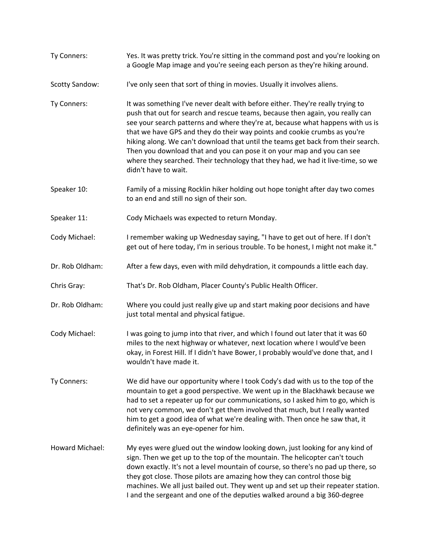| Ty Conners:           | Yes. It was pretty trick. You're sitting in the command post and you're looking on<br>a Google Map image and you're seeing each person as they're hiking around.                                                                                                                                                                                                                                                                                                                                                                                                                                        |
|-----------------------|---------------------------------------------------------------------------------------------------------------------------------------------------------------------------------------------------------------------------------------------------------------------------------------------------------------------------------------------------------------------------------------------------------------------------------------------------------------------------------------------------------------------------------------------------------------------------------------------------------|
| <b>Scotty Sandow:</b> | I've only seen that sort of thing in movies. Usually it involves aliens.                                                                                                                                                                                                                                                                                                                                                                                                                                                                                                                                |
| Ty Conners:           | It was something I've never dealt with before either. They're really trying to<br>push that out for search and rescue teams, because then again, you really can<br>see your search patterns and where they're at, because what happens with us is<br>that we have GPS and they do their way points and cookie crumbs as you're<br>hiking along. We can't download that until the teams get back from their search.<br>Then you download that and you can pose it on your map and you can see<br>where they searched. Their technology that they had, we had it live-time, so we<br>didn't have to wait. |
| Speaker 10:           | Family of a missing Rocklin hiker holding out hope tonight after day two comes<br>to an end and still no sign of their son.                                                                                                                                                                                                                                                                                                                                                                                                                                                                             |
| Speaker 11:           | Cody Michaels was expected to return Monday.                                                                                                                                                                                                                                                                                                                                                                                                                                                                                                                                                            |
| Cody Michael:         | I remember waking up Wednesday saying, "I have to get out of here. If I don't<br>get out of here today, I'm in serious trouble. To be honest, I might not make it."                                                                                                                                                                                                                                                                                                                                                                                                                                     |
| Dr. Rob Oldham:       | After a few days, even with mild dehydration, it compounds a little each day.                                                                                                                                                                                                                                                                                                                                                                                                                                                                                                                           |
| Chris Gray:           | That's Dr. Rob Oldham, Placer County's Public Health Officer.                                                                                                                                                                                                                                                                                                                                                                                                                                                                                                                                           |
| Dr. Rob Oldham:       | Where you could just really give up and start making poor decisions and have<br>just total mental and physical fatigue.                                                                                                                                                                                                                                                                                                                                                                                                                                                                                 |
| Cody Michael:         | I was going to jump into that river, and which I found out later that it was 60<br>miles to the next highway or whatever, next location where I would've been<br>okay, in Forest Hill. If I didn't have Bower, I probably would've done that, and I<br>wouldn't have made it.                                                                                                                                                                                                                                                                                                                           |
| Ty Conners:           | We did have our opportunity where I took Cody's dad with us to the top of the<br>mountain to get a good perspective. We went up in the Blackhawk because we<br>had to set a repeater up for our communications, so I asked him to go, which is<br>not very common, we don't get them involved that much, but I really wanted<br>him to get a good idea of what we're dealing with. Then once he saw that, it<br>definitely was an eye-opener for him.                                                                                                                                                   |
| Howard Michael:       | My eyes were glued out the window looking down, just looking for any kind of<br>sign. Then we get up to the top of the mountain. The helicopter can't touch<br>down exactly. It's not a level mountain of course, so there's no pad up there, so<br>they got close. Those pilots are amazing how they can control those big<br>machines. We all just bailed out. They went up and set up their repeater station.<br>I and the sergeant and one of the deputies walked around a big 360-degree                                                                                                           |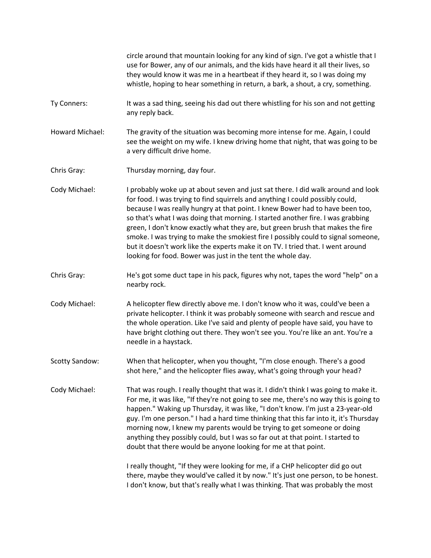|                       | circle around that mountain looking for any kind of sign. I've got a whistle that I<br>use for Bower, any of our animals, and the kids have heard it all their lives, so<br>they would know it was me in a heartbeat if they heard it, so I was doing my<br>whistle, hoping to hear something in return, a bark, a shout, a cry, something.                                                                                                                                                                                                                                                                                                                    |
|-----------------------|----------------------------------------------------------------------------------------------------------------------------------------------------------------------------------------------------------------------------------------------------------------------------------------------------------------------------------------------------------------------------------------------------------------------------------------------------------------------------------------------------------------------------------------------------------------------------------------------------------------------------------------------------------------|
| Ty Conners:           | It was a sad thing, seeing his dad out there whistling for his son and not getting<br>any reply back.                                                                                                                                                                                                                                                                                                                                                                                                                                                                                                                                                          |
| Howard Michael:       | The gravity of the situation was becoming more intense for me. Again, I could<br>see the weight on my wife. I knew driving home that night, that was going to be<br>a very difficult drive home.                                                                                                                                                                                                                                                                                                                                                                                                                                                               |
| Chris Gray:           | Thursday morning, day four.                                                                                                                                                                                                                                                                                                                                                                                                                                                                                                                                                                                                                                    |
| Cody Michael:         | I probably woke up at about seven and just sat there. I did walk around and look<br>for food. I was trying to find squirrels and anything I could possibly could,<br>because I was really hungry at that point. I knew Bower had to have been too,<br>so that's what I was doing that morning. I started another fire. I was grabbing<br>green, I don't know exactly what they are, but green brush that makes the fire<br>smoke. I was trying to make the smokiest fire I possibly could to signal someone,<br>but it doesn't work like the experts make it on TV. I tried that. I went around<br>looking for food. Bower was just in the tent the whole day. |
| Chris Gray:           | He's got some duct tape in his pack, figures why not, tapes the word "help" on a<br>nearby rock.                                                                                                                                                                                                                                                                                                                                                                                                                                                                                                                                                               |
| Cody Michael:         | A helicopter flew directly above me. I don't know who it was, could've been a<br>private helicopter. I think it was probably someone with search and rescue and<br>the whole operation. Like I've said and plenty of people have said, you have to<br>have bright clothing out there. They won't see you. You're like an ant. You're a<br>needle in a haystack.                                                                                                                                                                                                                                                                                                |
| <b>Scotty Sandow:</b> | When that helicopter, when you thought, "I'm close enough. There's a good<br>shot here," and the helicopter flies away, what's going through your head?                                                                                                                                                                                                                                                                                                                                                                                                                                                                                                        |
| Cody Michael:         | That was rough. I really thought that was it. I didn't think I was going to make it.<br>For me, it was like, "If they're not going to see me, there's no way this is going to<br>happen." Waking up Thursday, it was like, "I don't know. I'm just a 23-year-old<br>guy. I'm one person." I had a hard time thinking that this far into it, it's Thursday<br>morning now, I knew my parents would be trying to get someone or doing<br>anything they possibly could, but I was so far out at that point. I started to<br>doubt that there would be anyone looking for me at that point.                                                                        |
|                       | I really thought, "If they were looking for me, if a CHP helicopter did go out<br>there, maybe they would've called it by now." It's just one person, to be honest.<br>I don't know, but that's really what I was thinking. That was probably the most                                                                                                                                                                                                                                                                                                                                                                                                         |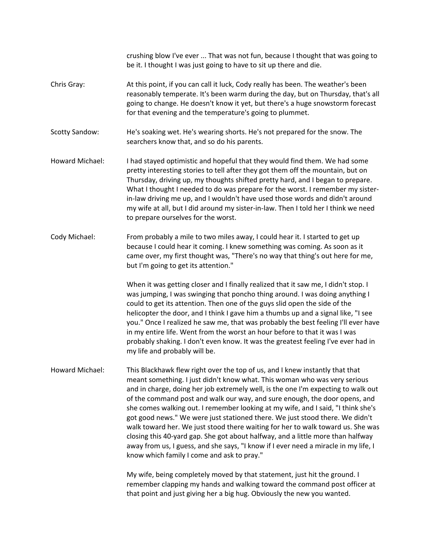crushing blow I've ever ... That was not fun, because I thought that was going to be it. I thought I was just going to have to sit up there and die. Chris Gray: At this point, if you can call it luck, Cody really has been. The weather's been reasonably temperate. It's been warm during the day, but on Thursday, that's all going to change. He doesn't know it yet, but there's a huge snowstorm forecast for that evening and the temperature's going to plummet. Scotty Sandow: He's soaking wet. He's wearing shorts. He's not prepared for the snow. The searchers know that, and so do his parents. Howard Michael: I had stayed optimistic and hopeful that they would find them. We had some pretty interesting stories to tell after they got them off the mountain, but on Thursday, driving up, my thoughts shifted pretty hard, and I began to prepare. What I thought I needed to do was prepare for the worst. I remember my sisterin-law driving me up, and I wouldn't have used those words and didn't around my wife at all, but I did around my sister-in-law. Then I told her I think we need to prepare ourselves for the worst. Cody Michael: From probably a mile to two miles away, I could hear it. I started to get up because I could hear it coming. I knew something was coming. As soon as it came over, my first thought was, "There's no way that thing's out here for me, but I'm going to get its attention." When it was getting closer and I finally realized that it saw me, I didn't stop. I was jumping, I was swinging that poncho thing around. I was doing anything I could to get its attention. Then one of the guys slid open the side of the helicopter the door, and I think I gave him a thumbs up and a signal like, "I see you." Once I realized he saw me, that was probably the best feeling I'll ever have in my entire life. Went from the worst an hour before to that it was I was probably shaking. I don't even know. It was the greatest feeling I've ever had in my life and probably will be. Howard Michael: This Blackhawk flew right over the top of us, and I knew instantly that that meant something. I just didn't know what. This woman who was very serious and in charge, doing her job extremely well, is the one I'm expecting to walk out of the command post and walk our way, and sure enough, the door opens, and she comes walking out. I remember looking at my wife, and I said, "I think she's got good news." We were just stationed there. We just stood there. We didn't walk toward her. We just stood there waiting for her to walk toward us. She was closing this 40-yard gap. She got about halfway, and a little more than halfway away from us, I guess, and she says, "I know if I ever need a miracle in my life, I know which family I come and ask to pray." My wife, being completely moved by that statement, just hit the ground. I remember clapping my hands and walking toward the command post officer at

that point and just giving her a big hug. Obviously the new you wanted.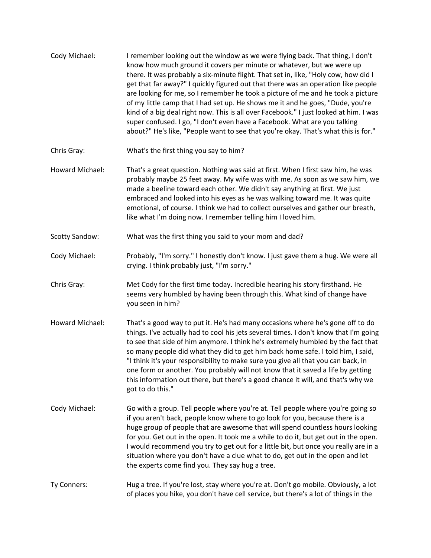| Cody Michael:         | I remember looking out the window as we were flying back. That thing, I don't<br>know how much ground it covers per minute or whatever, but we were up<br>there. It was probably a six-minute flight. That set in, like, "Holy cow, how did I<br>get that far away?" I quickly figured out that there was an operation like people<br>are looking for me, so I remember he took a picture of me and he took a picture<br>of my little camp that I had set up. He shows me it and he goes, "Dude, you're<br>kind of a big deal right now. This is all over Facebook." I just looked at him. I was<br>super confused. I go, "I don't even have a Facebook. What are you talking<br>about?" He's like, "People want to see that you're okay. That's what this is for." |
|-----------------------|---------------------------------------------------------------------------------------------------------------------------------------------------------------------------------------------------------------------------------------------------------------------------------------------------------------------------------------------------------------------------------------------------------------------------------------------------------------------------------------------------------------------------------------------------------------------------------------------------------------------------------------------------------------------------------------------------------------------------------------------------------------------|
| Chris Gray:           | What's the first thing you say to him?                                                                                                                                                                                                                                                                                                                                                                                                                                                                                                                                                                                                                                                                                                                              |
| Howard Michael:       | That's a great question. Nothing was said at first. When I first saw him, he was<br>probably maybe 25 feet away. My wife was with me. As soon as we saw him, we<br>made a beeline toward each other. We didn't say anything at first. We just<br>embraced and looked into his eyes as he was walking toward me. It was quite<br>emotional, of course. I think we had to collect ourselves and gather our breath,<br>like what I'm doing now. I remember telling him I loved him.                                                                                                                                                                                                                                                                                    |
| <b>Scotty Sandow:</b> | What was the first thing you said to your mom and dad?                                                                                                                                                                                                                                                                                                                                                                                                                                                                                                                                                                                                                                                                                                              |
| Cody Michael:         | Probably, "I'm sorry." I honestly don't know. I just gave them a hug. We were all<br>crying. I think probably just, "I'm sorry."                                                                                                                                                                                                                                                                                                                                                                                                                                                                                                                                                                                                                                    |
| Chris Gray:           | Met Cody for the first time today. Incredible hearing his story firsthand. He<br>seems very humbled by having been through this. What kind of change have<br>you seen in him?                                                                                                                                                                                                                                                                                                                                                                                                                                                                                                                                                                                       |
| Howard Michael:       | That's a good way to put it. He's had many occasions where he's gone off to do<br>things. I've actually had to cool his jets several times. I don't know that I'm going<br>to see that side of him anymore. I think he's extremely humbled by the fact that<br>so many people did what they did to get him back home safe. I told him, I said,<br>"I think it's your responsibility to make sure you give all that you can back, in<br>one form or another. You probably will not know that it saved a life by getting<br>this information out there, but there's a good chance it will, and that's why we<br>got to do this."                                                                                                                                      |
| Cody Michael:         | Go with a group. Tell people where you're at. Tell people where you're going so<br>if you aren't back, people know where to go look for you, because there is a<br>huge group of people that are awesome that will spend countless hours looking<br>for you. Get out in the open. It took me a while to do it, but get out in the open.<br>I would recommend you try to get out for a little bit, but once you really are in a<br>situation where you don't have a clue what to do, get out in the open and let<br>the experts come find you. They say hug a tree.                                                                                                                                                                                                  |
| Ty Conners:           | Hug a tree. If you're lost, stay where you're at. Don't go mobile. Obviously, a lot<br>of places you hike, you don't have cell service, but there's a lot of things in the                                                                                                                                                                                                                                                                                                                                                                                                                                                                                                                                                                                          |